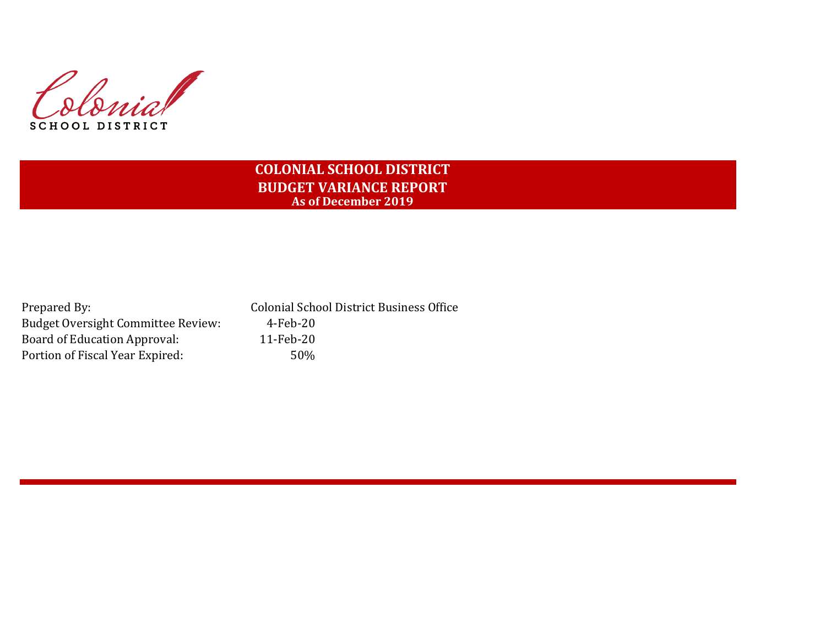Slovia **SCHOOL DISTRICT** 

# **COLONIAL SCHOOL DISTRICT BUDGET VARIANCE REPORT As of December 2019**

Prepared By: Colonial School District Business Office Budget Oversight Committee Review: 4-Feb-20 Board of Education Approval: 11-Feb-20 Portion of Fiscal Year Expired: 50%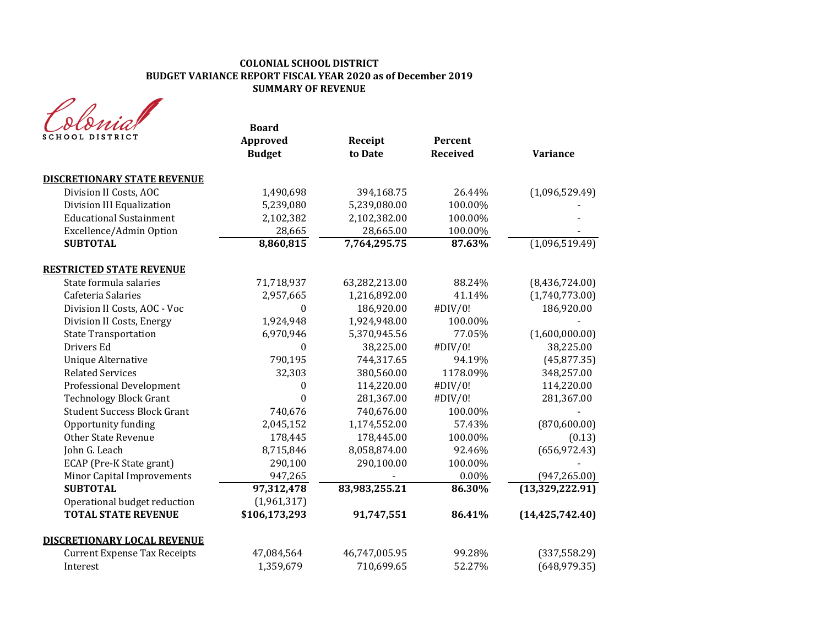## **COLONIAL SCHOOL DISTRICT BUDGET VARIANCE REPORT FISCAL YEAR 2020 as of December 2019 SUMMARY OF REVENUE**

| DISTRICT                            | <b>Board</b><br>Approved<br><b>Budget</b> | Receipt<br>to Date | Percent<br><b>Received</b> | <b>Variance</b>   |
|-------------------------------------|-------------------------------------------|--------------------|----------------------------|-------------------|
| <b>DISCRETIONARY STATE REVENUE</b>  |                                           |                    |                            |                   |
| Division II Costs, AOC              | 1,490,698                                 | 394,168.75         | 26.44%                     | (1,096,529.49)    |
| Division III Equalization           | 5,239,080                                 | 5,239,080.00       | 100.00%                    |                   |
| <b>Educational Sustainment</b>      | 2,102,382                                 | 2,102,382.00       | 100.00%                    |                   |
| Excellence/Admin Option             | 28,665                                    | 28,665.00          | 100.00%                    |                   |
| <b>SUBTOTAL</b>                     | 8,860,815                                 | 7,764,295.75       | 87.63%                     | (1,096,519.49)    |
| <b>RESTRICTED STATE REVENUE</b>     |                                           |                    |                            |                   |
| State formula salaries              | 71,718,937                                | 63,282,213.00      | 88.24%                     | (8,436,724.00)    |
| Cafeteria Salaries                  | 2,957,665                                 | 1,216,892.00       | 41.14%                     | (1,740,773.00)    |
| Division II Costs, AOC - Voc        | $\Omega$                                  | 186,920.00         | #DIV/0!                    | 186,920.00        |
| Division II Costs, Energy           | 1,924,948                                 | 1,924,948.00       | 100.00%                    |                   |
| <b>State Transportation</b>         | 6,970,946                                 | 5,370,945.56       | 77.05%                     | (1,600,000.00)    |
| Drivers Ed                          | $\Omega$                                  | 38,225.00          | #DIV/0!                    | 38,225.00         |
| <b>Unique Alternative</b>           | 790,195                                   | 744,317.65         | 94.19%                     | (45, 877.35)      |
| <b>Related Services</b>             | 32,303                                    | 380,560.00         | 1178.09%                   | 348,257.00        |
| <b>Professional Development</b>     | $\Omega$                                  | 114,220.00         | #DIV/0!                    | 114,220.00        |
| <b>Technology Block Grant</b>       | $\mathbf{0}$                              | 281,367.00         | #DIV/0!                    | 281,367.00        |
| <b>Student Success Block Grant</b>  | 740,676                                   | 740,676.00         | 100.00%                    |                   |
| Opportunity funding                 | 2,045,152                                 | 1,174,552.00       | 57.43%                     | (870, 600.00)     |
| <b>Other State Revenue</b>          | 178,445                                   | 178,445.00         | 100.00%                    | (0.13)            |
| John G. Leach                       | 8,715,846                                 | 8,058,874.00       | 92.46%                     | (656, 972.43)     |
| ECAP (Pre-K State grant)            | 290,100                                   | 290,100.00         | 100.00%                    |                   |
| Minor Capital Improvements          | 947,265                                   |                    | $0.00\%$                   | (947, 265.00)     |
| <b>SUBTOTAL</b>                     | 97,312,478                                | 83,983,255.21      | 86.30%                     | (13, 329, 222.91) |
| Operational budget reduction        | (1,961,317)                               |                    |                            |                   |
| <b>TOTAL STATE REVENUE</b>          | \$106,173,293                             | 91,747,551         | 86.41%                     | (14, 425, 742.40) |
| <b>DISCRETIONARY LOCAL REVENUE</b>  |                                           |                    |                            |                   |
| <b>Current Expense Tax Receipts</b> | 47,084,564                                | 46,747,005.95      | 99.28%                     | (337, 558.29)     |
| Interest                            | 1,359,679                                 | 710,699.65         | 52.27%                     | (648, 979.35)     |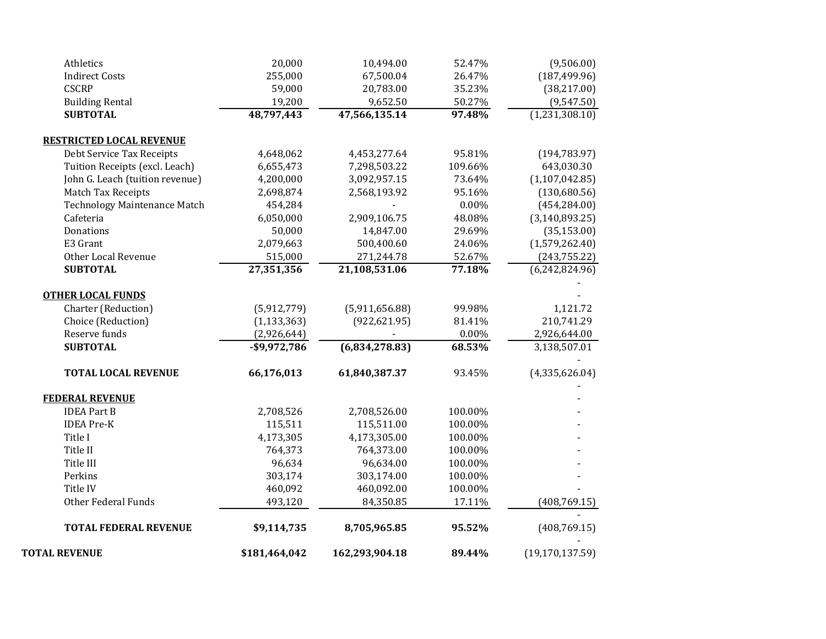| <b>TOTAL REVENUE</b>                                         | \$181,464,042   | 162,293,904.18 | 89.44%   | (19, 170, 137.59) |
|--------------------------------------------------------------|-----------------|----------------|----------|-------------------|
| <b>TOTAL FEDERAL REVENUE</b>                                 | \$9,114,735     | 8,705,965.85   | 95.52%   | (408, 769.15)     |
| <b>Other Federal Funds</b>                                   | 493,120         | 84,350.85      | 17.11%   | (408, 769.15)     |
| Title IV                                                     | 460,092         | 460,092.00     | 100.00%  |                   |
| Perkins                                                      | 303,174         | 303,174.00     | 100.00%  |                   |
| Title III                                                    | 96,634          | 96,634.00      | 100.00%  |                   |
| Title II                                                     | 764,373         | 764,373.00     | 100.00%  |                   |
| Title I                                                      | 4,173,305       | 4,173,305.00   | 100.00%  |                   |
| <b>IDEA Pre-K</b>                                            | 115,511         | 115,511.00     | 100.00%  |                   |
| <b>IDEA Part B</b>                                           | 2,708,526       | 2,708,526.00   | 100.00%  |                   |
| <b>FEDERAL REVENUE</b>                                       |                 |                |          |                   |
| <b>TOTAL LOCAL REVENUE</b>                                   | 66,176,013      | 61,840,387.37  | 93.45%   | (4,335,626.04)    |
| <b>SUBTOTAL</b>                                              | $-$ \$9,972,786 | (6,834,278.83) | 68.53%   | 3,138,507.01      |
| Reserve funds                                                | (2,926,644)     |                | $0.00\%$ | 2,926,644.00      |
| Choice (Reduction)                                           | (1, 133, 363)   | (922, 621.95)  | 81.41%   | 210,741.29        |
| Charter (Reduction)                                          | (5,912,779)     | (5,911,656.88) | 99.98%   | 1,121.72          |
| <b>OTHER LOCAL FUNDS</b>                                     |                 |                |          |                   |
| <b>SUBTOTAL</b>                                              | 27,351,356      | 21,108,531.06  | 77.18%   | (6,242,824.96)    |
| <b>Other Local Revenue</b>                                   | 515,000         | 271,244.78     | 52.67%   | (243, 755.22)     |
| E3 Grant                                                     | 2,079,663       | 500,400.60     | 24.06%   | (1,579,262.40)    |
| Donations                                                    | 50,000          | 14,847.00      | 29.69%   | (35, 153.00)      |
| Cafeteria                                                    | 6,050,000       | 2,909,106.75   | 48.08%   | (3, 140, 893.25)  |
| <b>Technology Maintenance Match</b>                          | 454,284         |                | 0.00%    | (454, 284.00)     |
| Match Tax Receipts                                           | 2,698,874       | 2,568,193.92   | 95.16%   | (130,680.56)      |
| John G. Leach (tuition revenue)                              | 4,200,000       | 3,092,957.15   | 73.64%   | (1, 107, 042.85)  |
| Tuition Receipts (excl. Leach)                               | 6,655,473       | 7,298,503.22   | 109.66%  | 643,030.30        |
| <b>RESTRICTED LOCAL REVENUE</b><br>Debt Service Tax Receipts | 4,648,062       | 4,453,277.64   | 95.81%   | (194, 783.97)     |
|                                                              |                 |                |          |                   |
| <b>SUBTOTAL</b>                                              | 48,797,443      | 47,566,135.14  | 97.48%   | (1,231,308.10)    |
| <b>Building Rental</b>                                       | 19,200          | 9,652.50       | 50.27%   | (9,547.50)        |
| <b>CSCRP</b>                                                 | 59,000          | 20,783.00      | 35.23%   | (38, 217.00)      |
| <b>Indirect Costs</b>                                        | 255,000         | 67,500.04      | 26.47%   | (187, 499.96)     |
| Athletics                                                    | 20,000          | 10,494.00      | 52.47%   | (9,506.00)        |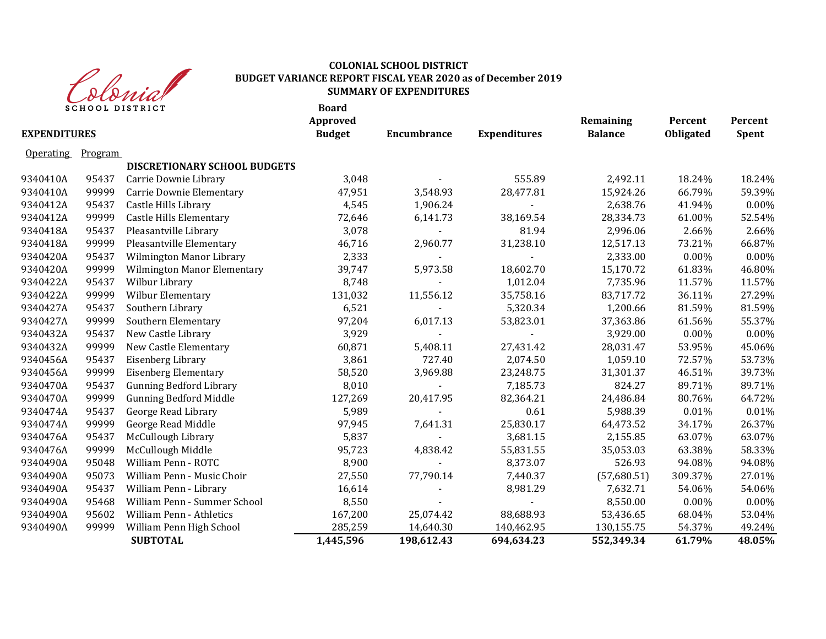

# **COLONIAL SCHOOL DISTRICT BUDGET VARIANCE REPORT FISCAL YEAR 2020 as of December 2019 SUMMARY OF EXPENDITURES**

| <b>EXPENDITURES</b> | <b>SCHOOL DISTRICT</b> |                                | <b>Board</b><br>Approved<br><b>Budget</b> | <b>Encumbrance</b> | <b>Expenditures</b> | Remaining<br><b>Balance</b> | Percent<br><b>Obligated</b> | Percent<br><b>Spent</b> |
|---------------------|------------------------|--------------------------------|-------------------------------------------|--------------------|---------------------|-----------------------------|-----------------------------|-------------------------|
| <b>Operating</b>    | Program                |                                |                                           |                    |                     |                             |                             |                         |
|                     |                        | DISCRETIONARY SCHOOL BUDGETS   |                                           |                    |                     |                             |                             |                         |
| 9340410A            | 95437                  | Carrie Downie Library          | 3,048                                     |                    | 555.89              | 2,492.11                    | 18.24%                      | 18.24%                  |
| 9340410A            | 99999                  | Carrie Downie Elementary       | 47,951                                    | 3,548.93           | 28,477.81           | 15,924.26                   | 66.79%                      | 59.39%                  |
| 9340412A            | 95437                  | Castle Hills Library           | 4,545                                     | 1,906.24           |                     | 2,638.76                    | 41.94%                      | 0.00%                   |
| 9340412A            | 99999                  | Castle Hills Elementary        | 72,646                                    | 6,141.73           | 38,169.54           | 28,334.73                   | 61.00%                      | 52.54%                  |
| 9340418A            | 95437                  | Pleasantville Library          | 3,078                                     |                    | 81.94               | 2,996.06                    | 2.66%                       | 2.66%                   |
| 9340418A            | 99999                  | Pleasantville Elementary       | 46,716                                    | 2,960.77           | 31,238.10           | 12,517.13                   | 73.21%                      | 66.87%                  |
| 9340420A            | 95437                  | Wilmington Manor Library       | 2,333                                     |                    |                     | 2,333.00                    | $0.00\%$                    | 0.00%                   |
| 9340420A            | 99999                  | Wilmington Manor Elementary    | 39,747                                    | 5,973.58           | 18,602.70           | 15,170.72                   | 61.83%                      | 46.80%                  |
| 9340422A            | 95437                  | Wilbur Library                 | 8,748                                     |                    | 1,012.04            | 7,735.96                    | 11.57%                      | 11.57%                  |
| 9340422A            | 99999                  | Wilbur Elementary              | 131,032                                   | 11,556.12          | 35,758.16           | 83,717.72                   | 36.11%                      | 27.29%                  |
| 9340427A            | 95437                  | Southern Library               | 6,521                                     |                    | 5,320.34            | 1,200.66                    | 81.59%                      | 81.59%                  |
| 9340427A            | 99999                  | Southern Elementary            | 97,204                                    | 6,017.13           | 53,823.01           | 37,363.86                   | 61.56%                      | 55.37%                  |
| 9340432A            | 95437                  | New Castle Library             | 3,929                                     |                    |                     | 3,929.00                    | $0.00\%$                    | 0.00%                   |
| 9340432A            | 99999                  | New Castle Elementary          | 60,871                                    | 5,408.11           | 27,431.42           | 28,031.47                   | 53.95%                      | 45.06%                  |
| 9340456A            | 95437                  | Eisenberg Library              | 3,861                                     | 727.40             | 2,074.50            | 1,059.10                    | 72.57%                      | 53.73%                  |
| 9340456A            | 99999                  | <b>Eisenberg Elementary</b>    | 58,520                                    | 3,969.88           | 23,248.75           | 31,301.37                   | 46.51%                      | 39.73%                  |
| 9340470A            | 95437                  | <b>Gunning Bedford Library</b> | 8,010                                     |                    | 7,185.73            | 824.27                      | 89.71%                      | 89.71%                  |
| 9340470A            | 99999                  | <b>Gunning Bedford Middle</b>  | 127,269                                   | 20,417.95          | 82,364.21           | 24,486.84                   | 80.76%                      | 64.72%                  |
| 9340474A            | 95437                  | George Read Library            | 5,989                                     |                    | 0.61                | 5,988.39                    | 0.01%                       | 0.01%                   |
| 9340474A            | 99999                  | George Read Middle             | 97,945                                    | 7,641.31           | 25,830.17           | 64,473.52                   | 34.17%                      | 26.37%                  |
| 9340476A            | 95437                  | McCullough Library             | 5,837                                     |                    | 3,681.15            | 2,155.85                    | 63.07%                      | 63.07%                  |
| 9340476A            | 99999                  | McCullough Middle              | 95,723                                    | 4,838.42           | 55,831.55           | 35,053.03                   | 63.38%                      | 58.33%                  |
| 9340490A            | 95048                  | William Penn - ROTC            | 8,900                                     |                    | 8,373.07            | 526.93                      | 94.08%                      | 94.08%                  |
| 9340490A            | 95073                  | William Penn - Music Choir     | 27,550                                    | 77,790.14          | 7,440.37            | (57,680.51)                 | 309.37%                     | 27.01%                  |
| 9340490A            | 95437                  | William Penn - Library         | 16,614                                    |                    | 8,981.29            | 7,632.71                    | 54.06%                      | 54.06%                  |
| 9340490A            | 95468                  | William Penn - Summer School   | 8,550                                     |                    |                     | 8,550.00                    | $0.00\%$                    | $0.00\%$                |
| 9340490A            | 95602                  | William Penn - Athletics       | 167,200                                   | 25,074.42          | 88,688.93           | 53,436.65                   | 68.04%                      | 53.04%                  |
| 9340490A            | 99999                  | William Penn High School       | 285,259                                   | 14,640.30          | 140,462.95          | 130,155.75                  | 54.37%                      | 49.24%                  |
|                     |                        | <b>SUBTOTAL</b>                | 1,445,596                                 | 198,612.43         | 694,634.23          | 552,349.34                  | 61.79%                      | 48.05%                  |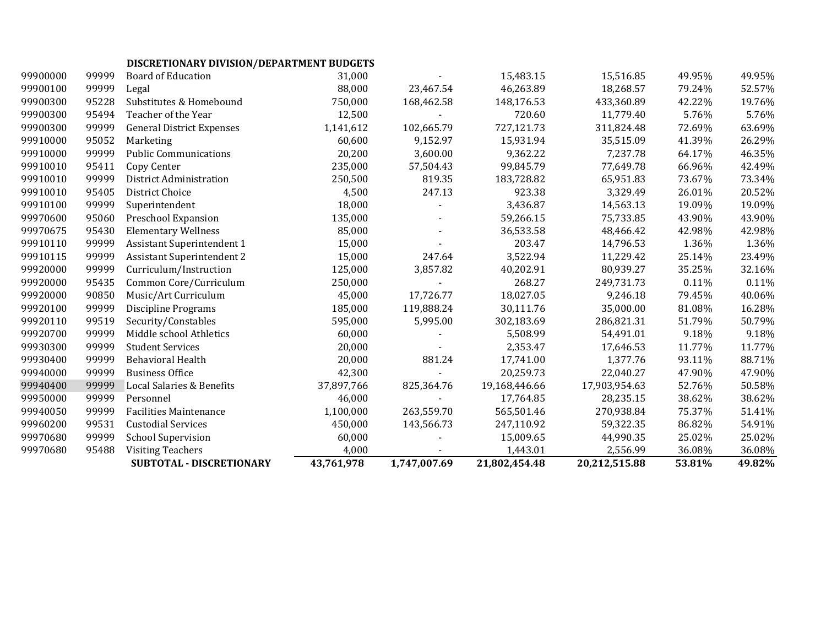# **DISCRETIONARY DIVISION/DEPARTMENT BUDGETS**

|          |       | SUBTOTAL - DISCRETIONARY          | 43,761,978 | 1,747,007.69 | 21,802,454.48 | 20,212,515.88 | 53.81% | 49.82% |
|----------|-------|-----------------------------------|------------|--------------|---------------|---------------|--------|--------|
| 99970680 | 95488 | <b>Visiting Teachers</b>          | 4,000      |              | 1,443.01      | 2,556.99      | 36.08% | 36.08% |
| 99970680 | 99999 | <b>School Supervision</b>         | 60,000     |              | 15,009.65     | 44,990.35     | 25.02% | 25.02% |
| 99960200 | 99531 | <b>Custodial Services</b>         | 450,000    | 143,566.73   | 247,110.92    | 59,322.35     | 86.82% | 54.91% |
| 99940050 | 99999 | <b>Facilities Maintenance</b>     | 1,100,000  | 263,559.70   | 565,501.46    | 270,938.84    | 75.37% | 51.41% |
| 99950000 | 99999 | Personnel                         | 46,000     |              | 17,764.85     | 28,235.15     | 38.62% | 38.62% |
| 99940400 | 99999 | Local Salaries & Benefits         | 37,897,766 | 825,364.76   | 19,168,446.66 | 17,903,954.63 | 52.76% | 50.58% |
| 99940000 | 99999 | <b>Business Office</b>            | 42,300     |              | 20,259.73     | 22,040.27     | 47.90% | 47.90% |
| 99930400 | 99999 | <b>Behavioral Health</b>          | 20,000     | 881.24       | 17,741.00     | 1,377.76      | 93.11% | 88.71% |
| 99930300 | 99999 | <b>Student Services</b>           | 20,000     |              | 2,353.47      | 17,646.53     | 11.77% | 11.77% |
| 99920700 | 99999 | Middle school Athletics           | 60,000     |              | 5,508.99      | 54,491.01     | 9.18%  | 9.18%  |
| 99920110 | 99519 | Security/Constables               | 595,000    | 5,995.00     | 302,183.69    | 286,821.31    | 51.79% | 50.79% |
| 99920100 | 99999 | <b>Discipline Programs</b>        | 185,000    | 119,888.24   | 30,111.76     | 35,000.00     | 81.08% | 16.28% |
| 99920000 | 90850 | Music/Art Curriculum              | 45,000     | 17,726.77    | 18,027.05     | 9,246.18      | 79.45% | 40.06% |
| 99920000 | 95435 | Common Core/Curriculum            | 250,000    |              | 268.27        | 249,731.73    | 0.11%  | 0.11%  |
| 99920000 | 99999 | Curriculum/Instruction            | 125,000    | 3,857.82     | 40,202.91     | 80,939.27     | 35.25% | 32.16% |
| 99910115 | 99999 | <b>Assistant Superintendent 2</b> | 15,000     | 247.64       | 3,522.94      | 11,229.42     | 25.14% | 23.49% |
| 99910110 | 99999 | <b>Assistant Superintendent 1</b> | 15,000     |              | 203.47        | 14,796.53     | 1.36%  | 1.36%  |
| 99970675 | 95430 | <b>Elementary Wellness</b>        | 85,000     |              | 36,533.58     | 48,466.42     | 42.98% | 42.98% |
| 99970600 | 95060 | Preschool Expansion               | 135,000    |              | 59,266.15     | 75,733.85     | 43.90% | 43.90% |
| 99910100 | 99999 | Superintendent                    | 18,000     |              | 3,436.87      | 14,563.13     | 19.09% | 19.09% |
| 99910010 | 95405 | <b>District Choice</b>            | 4,500      | 247.13       | 923.38        | 3,329.49      | 26.01% | 20.52% |
| 99910010 | 99999 | District Administration           | 250,500    | 819.35       | 183,728.82    | 65,951.83     | 73.67% | 73.34% |
| 99910010 | 95411 | Copy Center                       | 235,000    | 57,504.43    | 99,845.79     | 77,649.78     | 66.96% | 42.49% |
| 99910000 | 99999 | <b>Public Communications</b>      | 20,200     | 3,600.00     | 9,362.22      | 7,237.78      | 64.17% | 46.35% |
| 99910000 | 95052 | Marketing                         | 60,600     | 9,152.97     | 15,931.94     | 35,515.09     | 41.39% | 26.29% |
| 99900300 | 99999 | <b>General District Expenses</b>  | 1,141,612  | 102,665.79   | 727,121.73    | 311,824.48    | 72.69% | 63.69% |
| 99900300 | 95494 | Teacher of the Year               | 12,500     |              | 720.60        | 11,779.40     | 5.76%  | 5.76%  |
| 99900300 | 95228 | Substitutes & Homebound           | 750,000    | 168,462.58   | 148,176.53    | 433,360.89    | 42.22% | 19.76% |
| 99900100 | 99999 | Legal                             | 88,000     | 23,467.54    | 46,263.89     | 18,268.57     | 79.24% | 52.57% |
| 99900000 | 99999 | <b>Board of Education</b>         | 31,000     |              | 15,483.15     | 15,516.85     | 49.95% | 49.95% |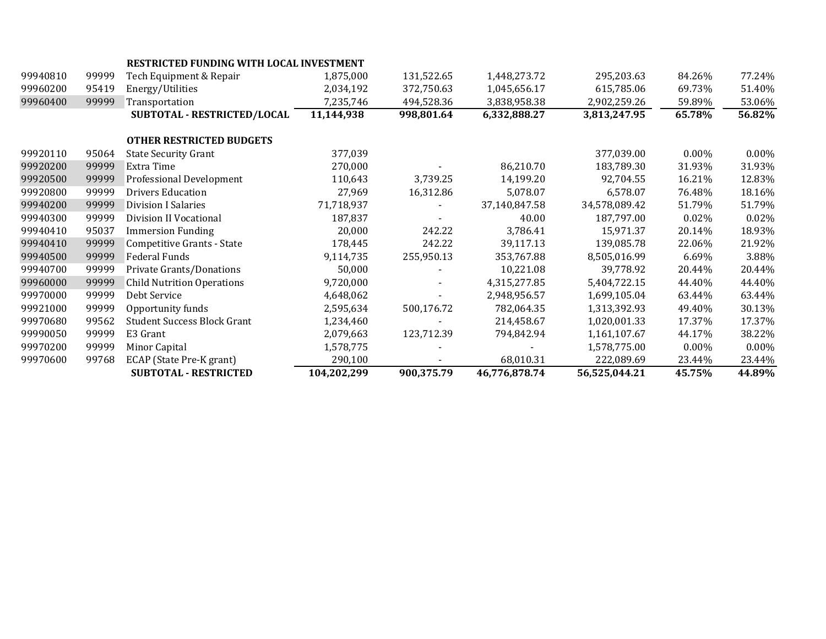|          |       | RESTRICTED FUNDING WITH LOCAL INVESTMENT |             |            |               |               |          |          |
|----------|-------|------------------------------------------|-------------|------------|---------------|---------------|----------|----------|
| 99940810 | 99999 | Tech Equipment & Repair                  | 1,875,000   | 131,522.65 | 1,448,273.72  | 295,203.63    | 84.26%   | 77.24%   |
| 99960200 | 95419 | Energy/Utilities                         | 2,034,192   | 372,750.63 | 1,045,656.17  | 615,785.06    | 69.73%   | 51.40%   |
| 99960400 | 99999 | Transportation                           | 7,235,746   | 494,528.36 | 3,838,958.38  | 2,902,259.26  | 59.89%   | 53.06%   |
|          |       | SUBTOTAL - RESTRICTED/LOCAL              | 11,144,938  | 998,801.64 | 6,332,888.27  | 3,813,247.95  | 65.78%   | 56.82%   |
|          |       | <b>OTHER RESTRICTED BUDGETS</b>          |             |            |               |               |          |          |
| 99920110 | 95064 | <b>State Security Grant</b>              | 377,039     |            |               | 377,039.00    | $0.00\%$ | $0.00\%$ |
| 99920200 | 99999 | Extra Time                               | 270,000     |            | 86,210.70     | 183,789.30    | 31.93%   | 31.93%   |
| 99920500 | 99999 | Professional Development                 | 110,643     | 3,739.25   | 14,199.20     | 92,704.55     | 16.21%   | 12.83%   |
| 99920800 | 99999 | <b>Drivers Education</b>                 | 27,969      | 16,312.86  | 5,078.07      | 6,578.07      | 76.48%   | 18.16%   |
| 99940200 | 99999 | Division I Salaries                      | 71,718,937  |            | 37,140,847.58 | 34,578,089.42 | 51.79%   | 51.79%   |
| 99940300 | 99999 | Division II Vocational                   | 187,837     |            | 40.00         | 187,797.00    | 0.02%    | 0.02%    |
| 99940410 | 95037 | <b>Immersion Funding</b>                 | 20,000      | 242.22     | 3,786.41      | 15,971.37     | 20.14%   | 18.93%   |
| 99940410 | 99999 | Competitive Grants - State               | 178,445     | 242.22     | 39,117.13     | 139,085.78    | 22.06%   | 21.92%   |
| 99940500 | 99999 | Federal Funds                            | 9,114,735   | 255,950.13 | 353,767.88    | 8,505,016.99  | 6.69%    | 3.88%    |
| 99940700 | 99999 | Private Grants/Donations                 | 50,000      |            | 10,221.08     | 39,778.92     | 20.44%   | 20.44%   |
| 99960000 | 99999 | <b>Child Nutrition Operations</b>        | 9,720,000   |            | 4,315,277.85  | 5,404,722.15  | 44.40%   | 44.40%   |
| 99970000 | 99999 | Debt Service                             | 4,648,062   |            | 2,948,956.57  | 1,699,105.04  | 63.44%   | 63.44%   |
| 99921000 | 99999 | Opportunity funds                        | 2,595,634   | 500,176.72 | 782,064.35    | 1,313,392.93  | 49.40%   | 30.13%   |
| 99970680 | 99562 | <b>Student Success Block Grant</b>       | 1,234,460   |            | 214,458.67    | 1,020,001.33  | 17.37%   | 17.37%   |
| 99990050 | 99999 | E3 Grant                                 | 2,079,663   | 123,712.39 | 794,842.94    | 1,161,107.67  | 44.17%   | 38.22%   |
| 99970200 | 99999 | Minor Capital                            | 1,578,775   |            |               | 1,578,775.00  | $0.00\%$ | $0.00\%$ |
| 99970600 | 99768 | ECAP (State Pre-K grant)                 | 290,100     |            | 68,010.31     | 222,089.69    | 23.44%   | 23.44%   |
|          |       | <b>SUBTOTAL - RESTRICTED</b>             | 104,202,299 | 900,375.79 | 46,776,878.74 | 56,525,044.21 | 45.75%   | 44.89%   |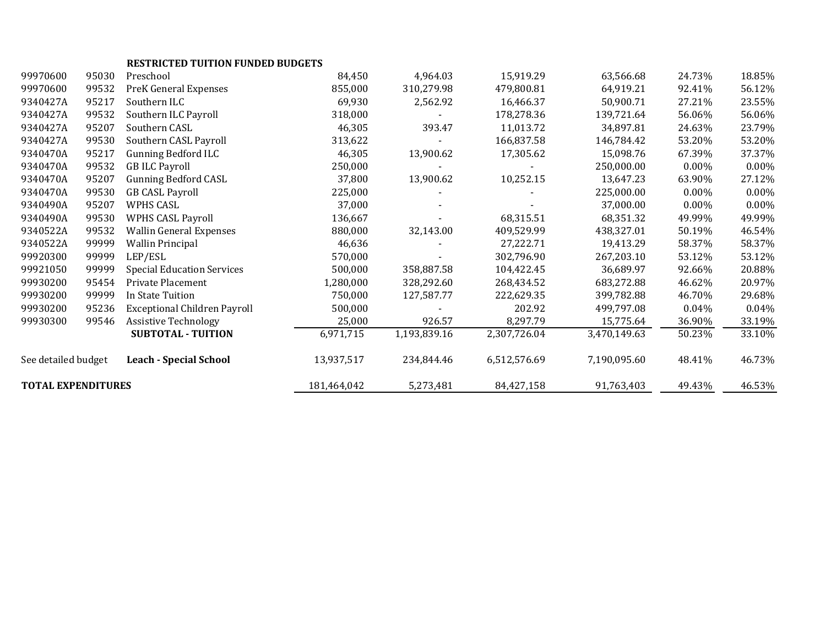| <b>TOTAL EXPENDITURES</b> |       |                                          | 181,464,042 | 5,273,481    | 84,427,158   | 91,763,403   | 49.43%   | 46.53%   |
|---------------------------|-------|------------------------------------------|-------------|--------------|--------------|--------------|----------|----------|
| See detailed budget       |       | <b>Leach - Special School</b>            | 13,937,517  | 234,844.46   | 6,512,576.69 | 7,190,095.60 | 48.41%   | 46.73%   |
|                           |       | <b>SUBTOTAL - TUITION</b>                | 6,971,715   | 1,193,839.16 | 2,307,726.04 | 3,470,149.63 | 50.23%   | 33.10%   |
| 99930300                  | 99546 | <b>Assistive Technology</b>              | 25,000      | 926.57       | 8,297.79     | 15,775.64    | 36.90%   | 33.19%   |
| 99930200                  | 95236 | <b>Exceptional Children Payroll</b>      | 500,000     |              | 202.92       | 499,797.08   | 0.04%    | $0.04\%$ |
| 99930200                  | 99999 | In State Tuition                         | 750,000     | 127,587.77   | 222,629.35   | 399,782.88   | 46.70%   | 29.68%   |
| 99930200                  | 95454 | Private Placement                        | 1,280,000   | 328,292.60   | 268,434.52   | 683,272.88   | 46.62%   | 20.97%   |
| 99921050                  | 99999 | <b>Special Education Services</b>        | 500,000     | 358,887.58   | 104,422.45   | 36,689.97    | 92.66%   | 20.88%   |
| 99920300                  | 99999 | LEP/ESL                                  | 570,000     |              | 302,796.90   | 267,203.10   | 53.12%   | 53.12%   |
| 9340522A                  | 99999 | <b>Wallin Principal</b>                  | 46,636      |              | 27,222.71    | 19,413.29    | 58.37%   | 58.37%   |
| 9340522A                  | 99532 | <b>Wallin General Expenses</b>           | 880,000     | 32,143.00    | 409,529.99   | 438,327.01   | 50.19%   | 46.54%   |
| 9340490A                  | 99530 | <b>WPHS CASL Payroll</b>                 | 136,667     |              | 68,315.51    | 68,351.32    | 49.99%   | 49.99%   |
| 9340490A                  | 95207 | WPHS CASL                                | 37,000      |              |              | 37,000.00    | $0.00\%$ | 0.00%    |
| 9340470A                  | 99530 | <b>GB CASL Payroll</b>                   | 225,000     |              |              | 225,000.00   | $0.00\%$ | 0.00%    |
| 9340470A                  | 95207 | <b>Gunning Bedford CASL</b>              | 37,800      | 13,900.62    | 10,252.15    | 13,647.23    | 63.90%   | 27.12%   |
| 9340470A                  | 99532 | <b>GB ILC Payroll</b>                    | 250,000     |              |              | 250,000.00   | $0.00\%$ | 0.00%    |
| 9340470A                  | 95217 | <b>Gunning Bedford ILC</b>               | 46,305      | 13,900.62    | 17,305.62    | 15,098.76    | 67.39%   | 37.37%   |
| 9340427A                  | 99530 | Southern CASL Payroll                    | 313,622     |              | 166,837.58   | 146,784.42   | 53.20%   | 53.20%   |
| 9340427A                  | 95207 | Southern CASL                            | 46,305      | 393.47       | 11,013.72    | 34,897.81    | 24.63%   | 23.79%   |
| 9340427A                  | 99532 | Southern ILC Payroll                     | 318,000     |              | 178,278.36   | 139,721.64   | 56.06%   | 56.06%   |
| 9340427A                  | 95217 | Southern ILC                             | 69,930      | 2,562.92     | 16,466.37    | 50,900.71    | 27.21%   | 23.55%   |
| 99970600                  | 99532 | <b>PreK General Expenses</b>             | 855,000     | 310,279.98   | 479,800.81   | 64,919.21    | 92.41%   | 56.12%   |
| 99970600                  | 95030 | Preschool                                | 84,450      | 4,964.03     | 15,919.29    | 63,566.68    | 24.73%   | 18.85%   |
|                           |       | <b>RESTRICTED TUITION FUNDED BUDGETS</b> |             |              |              |              |          |          |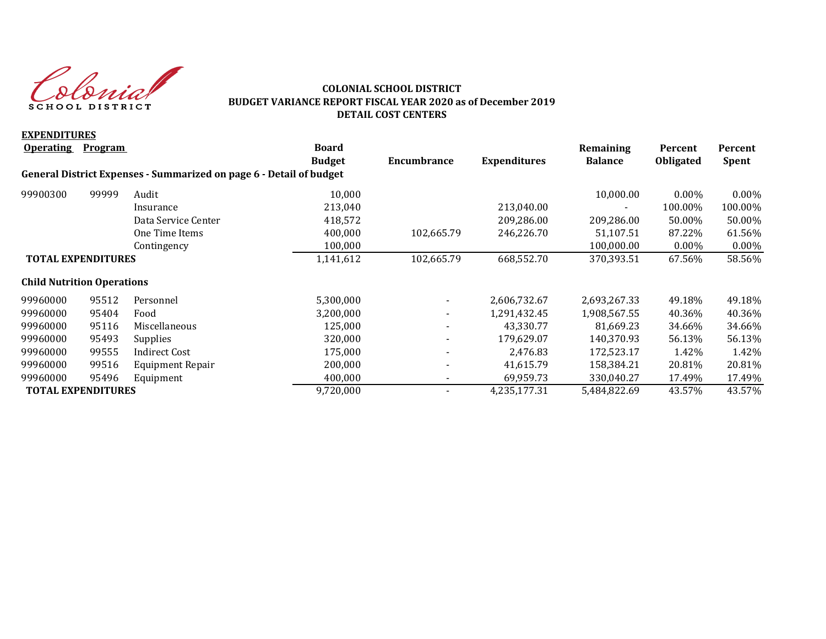Colonial SCHOOL DISTRICT

#### **COLONIAL SCHOOL DISTRICT BUDGET VARIANCE REPORT FISCAL YEAR 2020 as of December 2019 DETAIL COST CENTERS**

| <b>EXPENDITURES</b>               |                |                                                                     |               |                          |                     |                |                  |              |
|-----------------------------------|----------------|---------------------------------------------------------------------|---------------|--------------------------|---------------------|----------------|------------------|--------------|
| <b>Operating</b>                  | <b>Program</b> |                                                                     | <b>Board</b>  |                          |                     | Remaining      | Percent          | Percent      |
|                                   |                |                                                                     | <b>Budget</b> | Encumbrance              | <b>Expenditures</b> | <b>Balance</b> | <b>Obligated</b> | <b>Spent</b> |
|                                   |                | General District Expenses - Summarized on page 6 - Detail of budget |               |                          |                     |                |                  |              |
| 99900300                          | 99999          | Audit                                                               | 10,000        |                          |                     | 10,000.00      | $0.00\%$         | $0.00\%$     |
|                                   |                | Insurance                                                           | 213,040       |                          | 213,040.00          |                | 100.00%          | 100.00%      |
|                                   |                | Data Service Center                                                 | 418,572       |                          | 209,286.00          | 209,286.00     | 50.00%           | 50.00%       |
|                                   |                | One Time Items                                                      | 400,000       | 102,665.79               | 246,226.70          | 51,107.51      | 87.22%           | 61.56%       |
|                                   |                | Contingency                                                         | 100,000       |                          |                     | 100,000.00     | $0.00\%$         | $0.00\%$     |
| <b>TOTAL EXPENDITURES</b>         |                | 1,141,612                                                           | 102,665.79    | 668,552.70               | 370,393.51          | 67.56%         | 58.56%           |              |
| <b>Child Nutrition Operations</b> |                |                                                                     |               |                          |                     |                |                  |              |
| 99960000                          | 95512          | Personnel                                                           | 5,300,000     |                          | 2,606,732.67        | 2,693,267.33   | 49.18%           | 49.18%       |
| 99960000                          | 95404          | Food                                                                | 3,200,000     | $\overline{\phantom{0}}$ | 1,291,432.45        | 1,908,567.55   | 40.36%           | 40.36%       |
| 99960000                          | 95116          | Miscellaneous                                                       | 125,000       |                          | 43,330.77           | 81,669.23      | 34.66%           | 34.66%       |
| 99960000                          | 95493          | Supplies                                                            | 320,000       | Ξ.                       | 179,629.07          | 140,370.93     | 56.13%           | 56.13%       |
| 99960000                          | 99555          | Indirect Cost                                                       | 175,000       |                          | 2,476.83            | 172,523.17     | 1.42%            | 1.42%        |
| 99960000                          | 99516          | Equipment Repair                                                    | 200,000       |                          | 41,615.79           | 158,384.21     | 20.81%           | 20.81%       |
| 99960000                          | 95496          | Equipment                                                           | 400,000       |                          | 69,959.73           | 330,040.27     | 17.49%           | 17.49%       |
| <b>TOTAL EXPENDITURES</b>         |                |                                                                     | 9,720,000     |                          | 4,235,177.31        | 5,484,822.69   | 43.57%           | 43.57%       |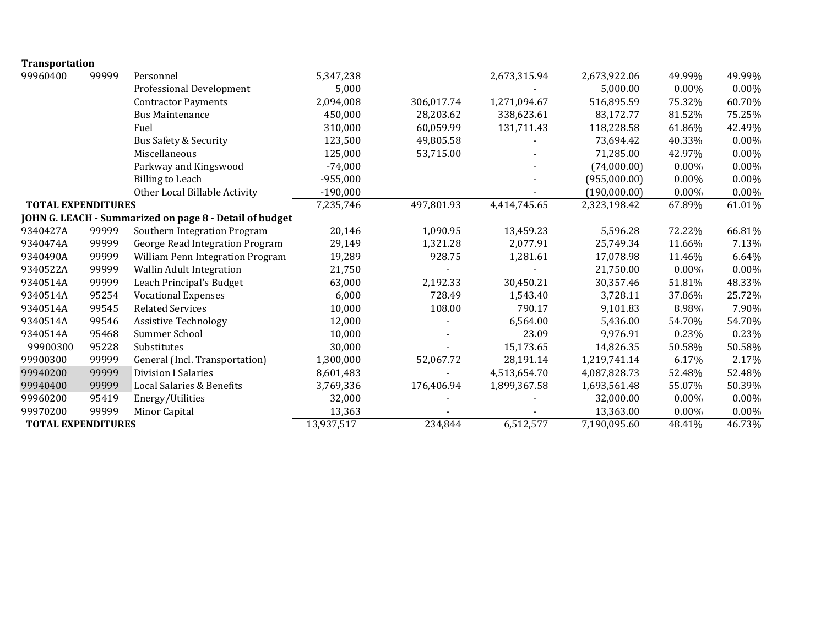| <b>Transportation</b>     |       |                                                         |            |            |              |              |          |          |
|---------------------------|-------|---------------------------------------------------------|------------|------------|--------------|--------------|----------|----------|
| 99960400                  | 99999 | Personnel                                               | 5,347,238  |            | 2,673,315.94 | 2,673,922.06 | 49.99%   | 49.99%   |
|                           |       | Professional Development                                | 5,000      |            |              | 5,000.00     | 0.00%    | $0.00\%$ |
|                           |       | <b>Contractor Payments</b>                              | 2,094,008  | 306,017.74 | 1,271,094.67 | 516,895.59   | 75.32%   | 60.70%   |
|                           |       | <b>Bus Maintenance</b>                                  | 450,000    | 28,203.62  | 338,623.61   | 83,172.77    | 81.52%   | 75.25%   |
|                           |       | Fuel                                                    | 310,000    | 60,059.99  | 131,711.43   | 118,228.58   | 61.86%   | 42.49%   |
|                           |       | Bus Safety & Security                                   | 123,500    | 49,805.58  |              | 73,694.42    | 40.33%   | 0.00%    |
|                           |       | Miscellaneous                                           | 125,000    | 53,715.00  |              | 71,285.00    | 42.97%   | $0.00\%$ |
|                           |       | Parkway and Kingswood                                   | $-74,000$  |            |              | (74,000.00)  | 0.00%    | 0.00%    |
|                           |       | <b>Billing to Leach</b>                                 | $-955,000$ |            |              | (955,000.00) | 0.00%    | $0.00\%$ |
|                           |       | Other Local Billable Activity                           | $-190,000$ |            |              | (190,000.00) | 0.00%    | 0.00%    |
| <b>TOTAL EXPENDITURES</b> |       |                                                         | 7,235,746  | 497,801.93 | 4,414,745.65 | 2,323,198.42 | 67.89%   | 61.01%   |
|                           |       | JOHN G. LEACH - Summarized on page 8 - Detail of budget |            |            |              |              |          |          |
| 9340427A                  | 99999 | Southern Integration Program                            | 20,146     | 1,090.95   | 13,459.23    | 5,596.28     | 72.22%   | 66.81%   |
| 9340474A                  | 99999 | George Read Integration Program                         | 29,149     | 1,321.28   | 2,077.91     | 25,749.34    | 11.66%   | 7.13%    |
| 9340490A                  | 99999 | William Penn Integration Program                        | 19,289     | 928.75     | 1,281.61     | 17,078.98    | 11.46%   | 6.64%    |
| 9340522A                  | 99999 | Wallin Adult Integration                                | 21,750     |            |              | 21,750.00    | 0.00%    | $0.00\%$ |
| 9340514A                  | 99999 | Leach Principal's Budget                                | 63,000     | 2,192.33   | 30,450.21    | 30,357.46    | 51.81%   | 48.33%   |
| 9340514A                  | 95254 | <b>Vocational Expenses</b>                              | 6,000      | 728.49     | 1,543.40     | 3,728.11     | 37.86%   | 25.72%   |
| 9340514A                  | 99545 | <b>Related Services</b>                                 | 10,000     | 108.00     | 790.17       | 9,101.83     | 8.98%    | 7.90%    |
| 9340514A                  | 99546 | <b>Assistive Technology</b>                             | 12,000     |            | 6,564.00     | 5,436.00     | 54.70%   | 54.70%   |
| 9340514A                  | 95468 | Summer School                                           | 10,000     |            | 23.09        | 9,976.91     | 0.23%    | 0.23%    |
| 99900300                  | 95228 | Substitutes                                             | 30,000     |            | 15,173.65    | 14,826.35    | 50.58%   | 50.58%   |
| 99900300                  | 99999 | General (Incl. Transportation)                          | 1,300,000  | 52,067.72  | 28,191.14    | 1,219,741.14 | 6.17%    | 2.17%    |
| 99940200                  | 99999 | <b>Division I Salaries</b>                              | 8,601,483  |            | 4,513,654.70 | 4,087,828.73 | 52.48%   | 52.48%   |
| 99940400                  | 99999 | Local Salaries & Benefits                               | 3,769,336  | 176,406.94 | 1,899,367.58 | 1,693,561.48 | 55.07%   | 50.39%   |
| 99960200                  | 95419 | Energy/Utilities                                        | 32,000     |            |              | 32,000.00    | $0.00\%$ | $0.00\%$ |
| 99970200                  | 99999 | Minor Capital                                           | 13,363     |            |              | 13,363.00    | 0.00%    | 0.00%    |
| <b>TOTAL EXPENDITURES</b> |       |                                                         | 13,937,517 | 234,844    | 6,512,577    | 7,190,095.60 | 48.41%   | 46.73%   |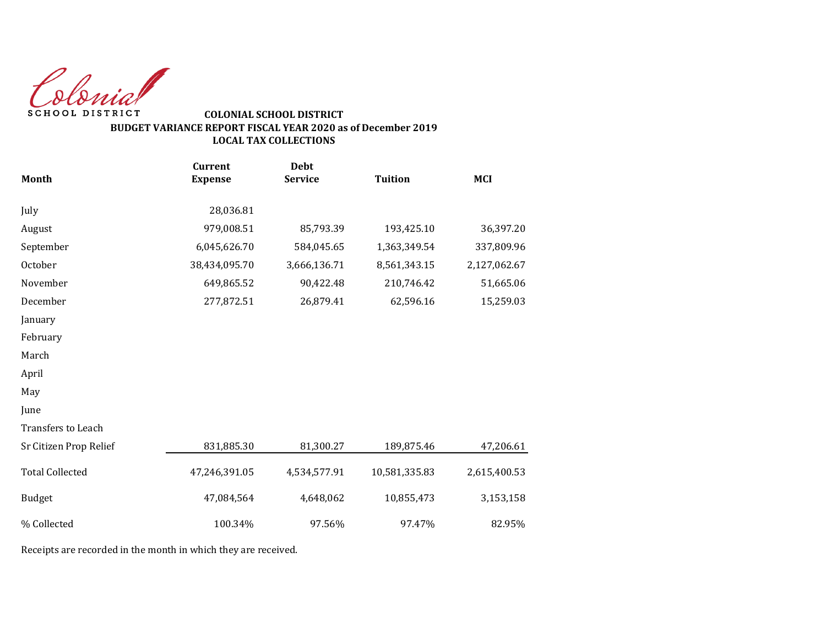Colonial SCHOOL DISTRICT

# **COLONIAL SCHOOL DISTRICT BUDGET VARIANCE REPORT FISCAL YEAR 2020 as of December 2019 LOCAL TAX COLLECTIONS**

|                        | <b>Current</b> | <b>Debt</b>    |                |              |
|------------------------|----------------|----------------|----------------|--------------|
| <b>Month</b>           | <b>Expense</b> | <b>Service</b> | <b>Tuition</b> | <b>MCI</b>   |
| July                   | 28,036.81      |                |                |              |
| August                 | 979,008.51     | 85,793.39      | 193,425.10     | 36,397.20    |
| September              | 6,045,626.70   | 584,045.65     | 1,363,349.54   | 337,809.96   |
| October                | 38,434,095.70  | 3,666,136.71   | 8,561,343.15   | 2,127,062.67 |
| November               | 649,865.52     | 90,422.48      | 210,746.42     | 51,665.06    |
| December               | 277,872.51     | 26,879.41      | 62,596.16      | 15,259.03    |
| January                |                |                |                |              |
| February               |                |                |                |              |
| March                  |                |                |                |              |
| April                  |                |                |                |              |
| May                    |                |                |                |              |
| June                   |                |                |                |              |
| Transfers to Leach     |                |                |                |              |
| Sr Citizen Prop Relief | 831,885.30     | 81,300.27      | 189,875.46     | 47,206.61    |
| <b>Total Collected</b> | 47,246,391.05  | 4,534,577.91   | 10,581,335.83  | 2,615,400.53 |
| <b>Budget</b>          | 47,084,564     | 4,648,062      | 10,855,473     | 3,153,158    |
| % Collected            | 100.34%        | 97.56%         | 97.47%         | 82.95%       |

Receipts are recorded in the month in which they are received.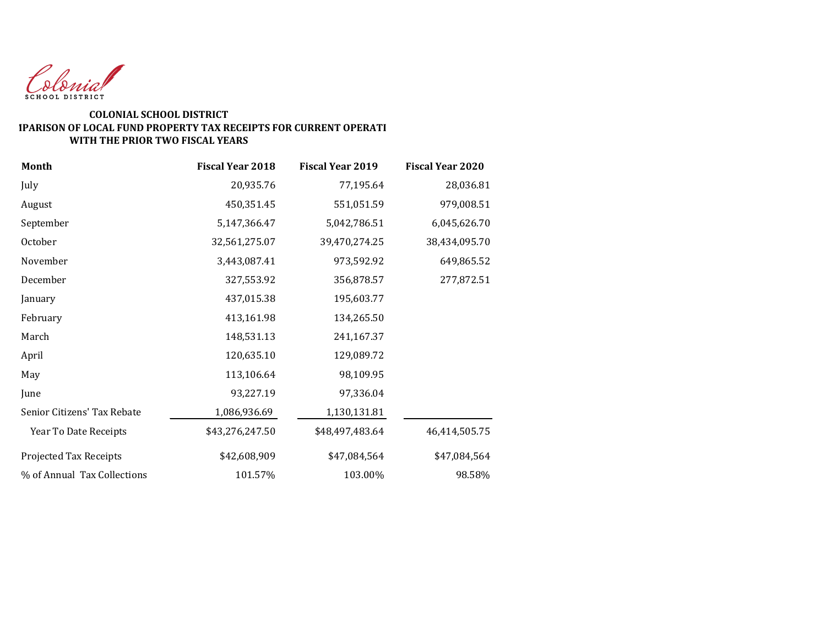

#### **COLONIAL SCHOOL DISTRICT COMPARISON OF LOCAL FUND PROPERTY TAX RECEIPTS FOR CURRENT OPERATI WITH THE PRIOR TWO FISCAL YEARS**

| Month                       | <b>Fiscal Year 2018</b> | <b>Fiscal Year 2019</b> | <b>Fiscal Year 2020</b> |
|-----------------------------|-------------------------|-------------------------|-------------------------|
| July                        | 20,935.76               | 77,195.64               | 28,036.81               |
| August                      | 450,351.45              | 551,051.59              | 979,008.51              |
| September                   | 5,147,366.47            | 5,042,786.51            | 6,045,626.70            |
| October                     | 32,561,275.07           | 39,470,274.25           | 38,434,095.70           |
| November                    | 3,443,087.41            | 973,592.92              | 649,865.52              |
| December                    | 327,553.92              | 356,878.57              | 277,872.51              |
| January                     | 437,015.38              | 195,603.77              |                         |
| February                    | 413,161.98              | 134,265.50              |                         |
| March                       | 148,531.13              | 241,167.37              |                         |
| April                       | 120,635.10              | 129,089.72              |                         |
| May                         | 113,106.64              | 98,109.95               |                         |
| June                        | 93,227.19               | 97,336.04               |                         |
| Senior Citizens' Tax Rebate | 1,086,936.69            | 1,130,131.81            |                         |
| Year To Date Receipts       | \$43,276,247.50         | \$48,497,483.64         | 46,414,505.75           |
| Projected Tax Receipts      | \$42,608,909            | \$47,084,564            | \$47,084,564            |
| % of Annual Tax Collections | 101.57%                 | 103.00%                 | 98.58%                  |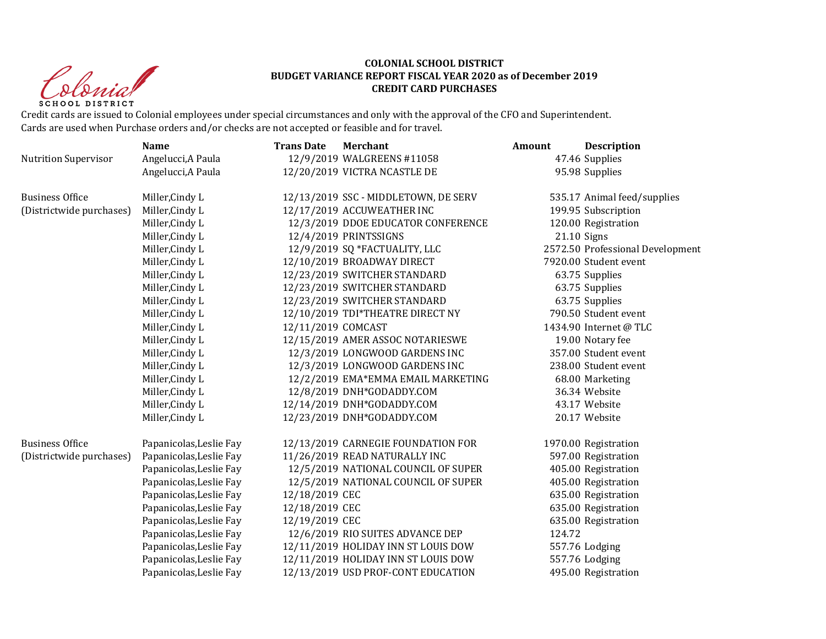Christ **SCHOOL DISTRICT** 

### **COLONIAL SCHOOL DISTRICT BUDGET VARIANCE REPORT FISCAL YEAR 2020 as of December 2019 CREDIT CARD PURCHASES**

Credit cards are issued to Colonial employees under special circumstances and only with the approval of the CFO and Superintendent. Cards are used when Purchase orders and/or checks are not accepted or feasible and for travel.

|                             | <b>Name</b>             | <b>Trans Date</b>  | <b>Merchant</b>                      | Amount | <b>Description</b>               |
|-----------------------------|-------------------------|--------------------|--------------------------------------|--------|----------------------------------|
| <b>Nutrition Supervisor</b> | Angelucci, A Paula      |                    | 12/9/2019 WALGREENS #11058           |        | 47.46 Supplies                   |
|                             | Angelucci, A Paula      |                    | 12/20/2019 VICTRA NCASTLE DE         |        | 95.98 Supplies                   |
| <b>Business Office</b>      | Miller, Cindy L         |                    | 12/13/2019 SSC - MIDDLETOWN, DE SERV |        | 535.17 Animal feed/supplies      |
| (Districtwide purchases)    | Miller, Cindy L         |                    | 12/17/2019 ACCUWEATHER INC           |        | 199.95 Subscription              |
|                             | Miller, Cindy L         |                    | 12/3/2019 DDOE EDUCATOR CONFERENCE   |        | 120.00 Registration              |
|                             | Miller, Cindy L         |                    | 12/4/2019 PRINTSSIGNS                |        | $21.10$ Signs                    |
|                             | Miller, Cindy L         |                    | 12/9/2019 SQ *FACTUALITY, LLC        |        | 2572.50 Professional Development |
|                             | Miller, Cindy L         |                    | 12/10/2019 BROADWAY DIRECT           |        | 7920.00 Student event            |
|                             | Miller, Cindy L         |                    | 12/23/2019 SWITCHER STANDARD         |        | 63.75 Supplies                   |
|                             | Miller, Cindy L         |                    | 12/23/2019 SWITCHER STANDARD         |        | 63.75 Supplies                   |
|                             | Miller, Cindy L         |                    | 12/23/2019 SWITCHER STANDARD         |        | 63.75 Supplies                   |
|                             | Miller, Cindy L         |                    | 12/10/2019 TDI*THEATRE DIRECT NY     |        | 790.50 Student event             |
|                             | Miller, Cindy L         | 12/11/2019 COMCAST |                                      |        | 1434.90 Internet @ TLC           |
|                             | Miller, Cindy L         |                    | 12/15/2019 AMER ASSOC NOTARIESWE     |        | 19.00 Notary fee                 |
|                             | Miller, Cindy L         |                    | 12/3/2019 LONGWOOD GARDENS INC       |        | 357.00 Student event             |
|                             | Miller, Cindy L         |                    | 12/3/2019 LONGWOOD GARDENS INC       |        | 238.00 Student event             |
|                             | Miller, Cindy L         |                    | 12/2/2019 EMA*EMMA EMAIL MARKETING   |        | 68.00 Marketing                  |
|                             | Miller, Cindy L         |                    | 12/8/2019 DNH*GODADDY.COM            |        | 36.34 Website                    |
|                             | Miller, Cindy L         |                    | 12/14/2019 DNH*GODADDY.COM           |        | 43.17 Website                    |
|                             | Miller, Cindy L         |                    | 12/23/2019 DNH*GODADDY.COM           |        | 20.17 Website                    |
| <b>Business Office</b>      | Papanicolas, Leslie Fay |                    | 12/13/2019 CARNEGIE FOUNDATION FOR   |        | 1970.00 Registration             |
| (Districtwide purchases)    | Papanicolas, Leslie Fay |                    | 11/26/2019 READ NATURALLY INC        |        | 597.00 Registration              |
|                             | Papanicolas, Leslie Fay |                    | 12/5/2019 NATIONAL COUNCIL OF SUPER  |        | 405.00 Registration              |
|                             | Papanicolas, Leslie Fay |                    | 12/5/2019 NATIONAL COUNCIL OF SUPER  |        | 405.00 Registration              |
|                             | Papanicolas, Leslie Fay | 12/18/2019 CEC     |                                      |        | 635.00 Registration              |
|                             | Papanicolas, Leslie Fay | 12/18/2019 CEC     |                                      |        | 635.00 Registration              |
|                             | Papanicolas, Leslie Fay | 12/19/2019 CEC     |                                      |        | 635.00 Registration              |
|                             | Papanicolas, Leslie Fay |                    | 12/6/2019 RIO SUITES ADVANCE DEP     | 124.72 |                                  |
|                             | Papanicolas, Leslie Fay |                    | 12/11/2019 HOLIDAY INN ST LOUIS DOW  |        | 557.76 Lodging                   |
|                             | Papanicolas, Leslie Fay |                    | 12/11/2019 HOLIDAY INN ST LOUIS DOW  |        | 557.76 Lodging                   |
|                             | Papanicolas, Leslie Fay |                    | 12/13/2019 USD PROF-CONT EDUCATION   |        | 495.00 Registration              |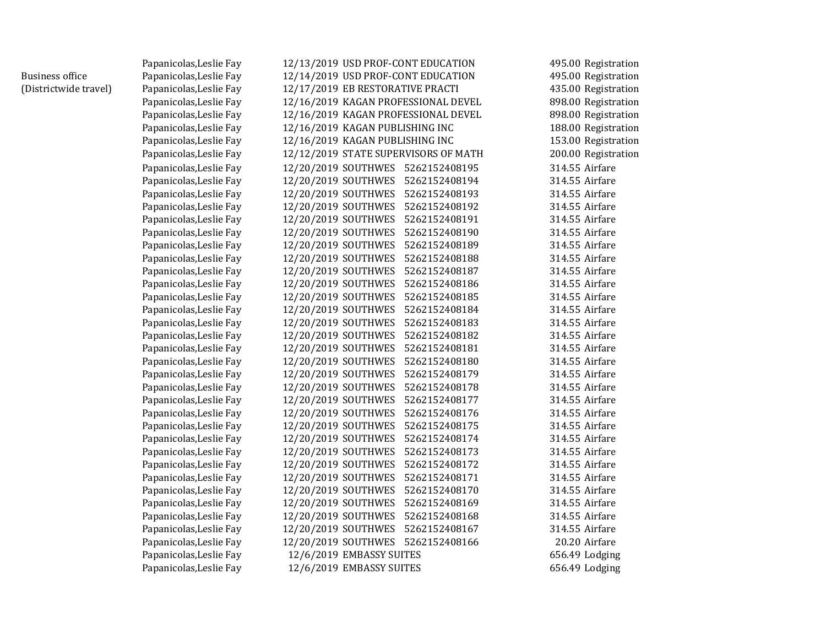|                        | Papanicolas, Leslie Fay | 12/13/2019 USD PROF-CONT EDUCATION   | 495.00 Registration |
|------------------------|-------------------------|--------------------------------------|---------------------|
| <b>Business office</b> | Papanicolas, Leslie Fay | 12/14/2019 USD PROF-CONT EDUCATION   | 495.00 Registration |
| (Districtwide travel)  | Papanicolas, Leslie Fay | 12/17/2019 EB RESTORATIVE PRACTI     | 435.00 Registration |
|                        | Papanicolas, Leslie Fay | 12/16/2019 KAGAN PROFESSIONAL DEVEL  | 898.00 Registration |
|                        | Papanicolas, Leslie Fay | 12/16/2019 KAGAN PROFESSIONAL DEVEL  | 898.00 Registration |
|                        | Papanicolas, Leslie Fay | 12/16/2019 KAGAN PUBLISHING INC      | 188.00 Registration |
|                        | Papanicolas, Leslie Fay | 12/16/2019 KAGAN PUBLISHING INC      | 153.00 Registration |
|                        | Papanicolas, Leslie Fay | 12/12/2019 STATE SUPERVISORS OF MATH | 200.00 Registration |
|                        | Papanicolas, Leslie Fay | 12/20/2019 SOUTHWES 5262152408195    | 314.55 Airfare      |
|                        | Papanicolas, Leslie Fay | 12/20/2019 SOUTHWES 5262152408194    | 314.55 Airfare      |
|                        | Papanicolas, Leslie Fay | 12/20/2019 SOUTHWES 5262152408193    | 314.55 Airfare      |
|                        | Papanicolas, Leslie Fay | 12/20/2019 SOUTHWES 5262152408192    | 314.55 Airfare      |
|                        | Papanicolas, Leslie Fay | 12/20/2019 SOUTHWES 5262152408191    | 314.55 Airfare      |
|                        | Papanicolas, Leslie Fay | 12/20/2019 SOUTHWES 5262152408190    | 314.55 Airfare      |
|                        | Papanicolas, Leslie Fay | 12/20/2019 SOUTHWES<br>5262152408189 | 314.55 Airfare      |
|                        | Papanicolas, Leslie Fay | 12/20/2019 SOUTHWES 5262152408188    | 314.55 Airfare      |
|                        | Papanicolas, Leslie Fay | 12/20/2019 SOUTHWES 5262152408187    | 314.55 Airfare      |
|                        | Papanicolas, Leslie Fay | 12/20/2019 SOUTHWES<br>5262152408186 | 314.55 Airfare      |
|                        | Papanicolas, Leslie Fay | 12/20/2019 SOUTHWES<br>5262152408185 | 314.55 Airfare      |
|                        | Papanicolas, Leslie Fay | 12/20/2019 SOUTHWES<br>5262152408184 | 314.55 Airfare      |
|                        | Papanicolas, Leslie Fay | 12/20/2019 SOUTHWES<br>5262152408183 | 314.55 Airfare      |
|                        | Papanicolas, Leslie Fay | 12/20/2019 SOUTHWES<br>5262152408182 | 314.55 Airfare      |
|                        | Papanicolas, Leslie Fay | 12/20/2019 SOUTHWES<br>5262152408181 | 314.55 Airfare      |
|                        | Papanicolas, Leslie Fay | 12/20/2019 SOUTHWES 5262152408180    | 314.55 Airfare      |
|                        | Papanicolas, Leslie Fay | 12/20/2019 SOUTHWES 5262152408179    | 314.55 Airfare      |
|                        | Papanicolas, Leslie Fay | 12/20/2019 SOUTHWES<br>5262152408178 | 314.55 Airfare      |
|                        | Papanicolas, Leslie Fay | 12/20/2019 SOUTHWES 5262152408177    | 314.55 Airfare      |
|                        | Papanicolas, Leslie Fay | 12/20/2019 SOUTHWES<br>5262152408176 | 314.55 Airfare      |
|                        | Papanicolas, Leslie Fay | 12/20/2019 SOUTHWES 5262152408175    | 314.55 Airfare      |
|                        | Papanicolas, Leslie Fay | 12/20/2019 SOUTHWES<br>5262152408174 | 314.55 Airfare      |
|                        | Papanicolas, Leslie Fay | 12/20/2019 SOUTHWES 5262152408173    | 314.55 Airfare      |
|                        | Papanicolas, Leslie Fay | 12/20/2019 SOUTHWES 5262152408172    | 314.55 Airfare      |
|                        | Papanicolas, Leslie Fay | 12/20/2019 SOUTHWES 5262152408171    | 314.55 Airfare      |
|                        | Papanicolas, Leslie Fay | 12/20/2019 SOUTHWES 5262152408170    | 314.55 Airfare      |
|                        | Papanicolas, Leslie Fay | 12/20/2019 SOUTHWES 5262152408169    | 314.55 Airfare      |
|                        | Papanicolas, Leslie Fay | 12/20/2019 SOUTHWES 5262152408168    | 314.55 Airfare      |
|                        | Papanicolas, Leslie Fay | 12/20/2019 SOUTHWES 5262152408167    | 314.55 Airfare      |
|                        | Papanicolas, Leslie Fay | 12/20/2019 SOUTHWES 5262152408166    | 20.20 Airfare       |
|                        | Papanicolas, Leslie Fay | 12/6/2019 EMBASSY SUITES             | 656.49 Lodging      |
|                        | Papanicolas, Leslie Fay | 12/6/2019 EMBASSY SUITES             | 656.49 Lodging      |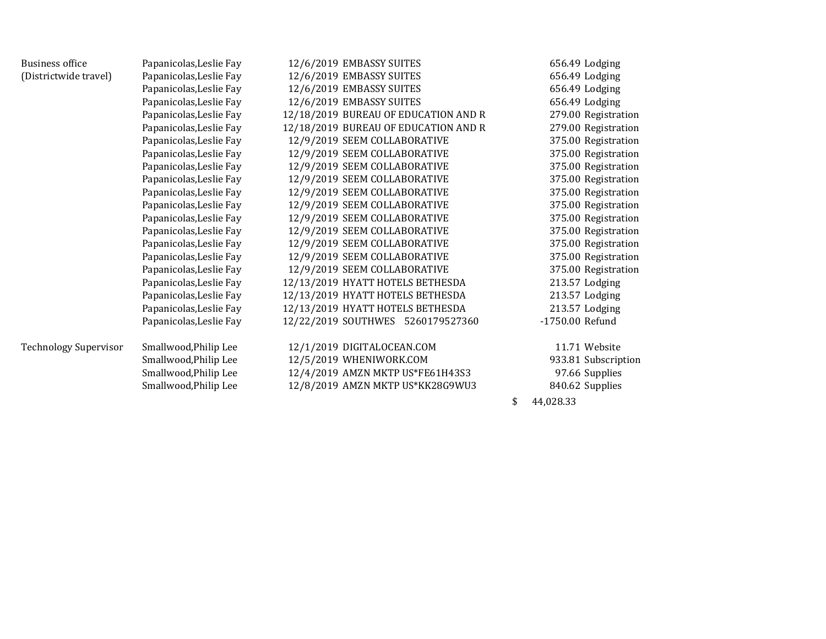| <b>Business office</b>       | Papanicolas, Leslie Fay | 12/6/2019 EMBASSY SUITES             | 656.49 Lodging      |
|------------------------------|-------------------------|--------------------------------------|---------------------|
| (Districtwide travel)        | Papanicolas, Leslie Fay | 12/6/2019 EMBASSY SUITES             | 656.49 Lodging      |
|                              | Papanicolas, Leslie Fay | 12/6/2019 EMBASSY SUITES             | 656.49 Lodging      |
|                              | Papanicolas, Leslie Fay | 12/6/2019 EMBASSY SUITES             | 656.49 Lodging      |
|                              | Papanicolas, Leslie Fay | 12/18/2019 BUREAU OF EDUCATION AND R | 279.00 Registration |
|                              | Papanicolas, Leslie Fay | 12/18/2019 BUREAU OF EDUCATION AND R | 279.00 Registration |
|                              | Papanicolas, Leslie Fay | 12/9/2019 SEEM COLLABORATIVE         | 375.00 Registration |
|                              | Papanicolas, Leslie Fay | 12/9/2019 SEEM COLLABORATIVE         | 375.00 Registration |
|                              | Papanicolas, Leslie Fay | 12/9/2019 SEEM COLLABORATIVE         | 375.00 Registration |
|                              | Papanicolas, Leslie Fay | 12/9/2019 SEEM COLLABORATIVE         | 375.00 Registration |
|                              | Papanicolas, Leslie Fay | 12/9/2019 SEEM COLLABORATIVE         | 375.00 Registration |
|                              | Papanicolas, Leslie Fay | 12/9/2019 SEEM COLLABORATIVE         | 375.00 Registration |
|                              | Papanicolas, Leslie Fay | 12/9/2019 SEEM COLLABORATIVE         | 375.00 Registration |
|                              | Papanicolas, Leslie Fay | 12/9/2019 SEEM COLLABORATIVE         | 375.00 Registration |
|                              | Papanicolas, Leslie Fay | 12/9/2019 SEEM COLLABORATIVE         | 375.00 Registration |
|                              | Papanicolas, Leslie Fay | 12/9/2019 SEEM COLLABORATIVE         | 375.00 Registration |
|                              | Papanicolas, Leslie Fay | 12/9/2019 SEEM COLLABORATIVE         | 375.00 Registration |
|                              | Papanicolas, Leslie Fay | 12/13/2019 HYATT HOTELS BETHESDA     | 213.57 Lodging      |
|                              | Papanicolas, Leslie Fay | 12/13/2019 HYATT HOTELS BETHESDA     | 213.57 Lodging      |
|                              | Papanicolas, Leslie Fay | 12/13/2019 HYATT HOTELS BETHESDA     | 213.57 Lodging      |
|                              | Papanicolas, Leslie Fay | 12/22/2019 SOUTHWES 5260179527360    | -1750.00 Refund     |
| <b>Technology Supervisor</b> | Smallwood, Philip Lee   | 12/1/2019 DIGITALOCEAN.COM           | 11.71 Website       |
|                              | Smallwood, Philip Lee   | 12/5/2019 WHENIWORK.COM              | 933.81 Subscription |
|                              | Smallwood, Philip Lee   | 12/4/2019 AMZN MKTP US*FE61H43S3     | 97.66 Supplies      |
|                              | Smallwood, Philip Lee   | 12/8/2019 AMZN MKTP US*KK28G9WU3     | 840.62 Supplies     |
|                              |                         |                                      | \$<br>44,028.33     |
|                              |                         |                                      |                     |